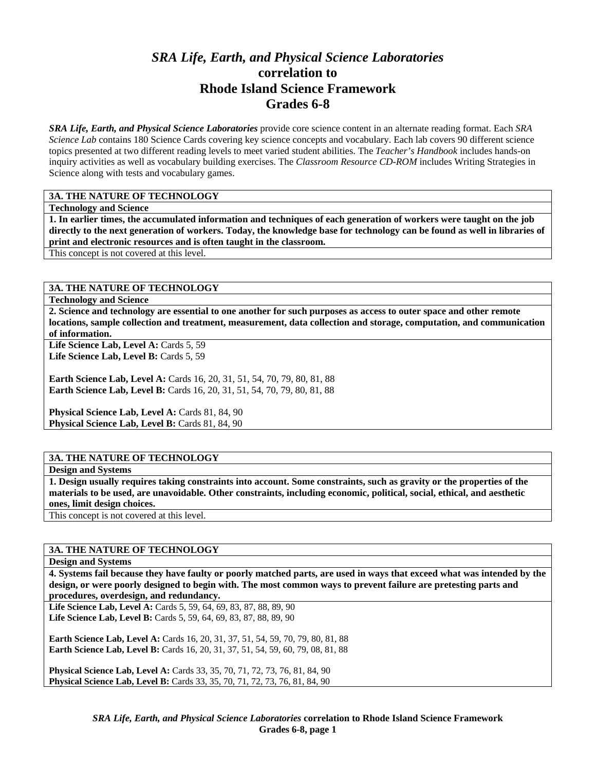# *SRA Life, Earth, and Physical Science Laboratories*  **correlation to Rhode Island Science Framework Grades 6-8**

*SRA Life, Earth, and Physical Science Laboratories* provide core science content in an alternate reading format. Each *SRA Science Lab* contains 180 Science Cards covering key science concepts and vocabulary. Each lab covers 90 different science topics presented at two different reading levels to meet varied student abilities. The *Teacher's Handbook* includes hands-on inquiry activities as well as vocabulary building exercises. The *Classroom Resource CD-ROM* includes Writing Strategies in Science along with tests and vocabulary games.

#### **3A. THE NATURE OF TECHNOLOGY**

**Technology and Science** 

**1. In earlier times, the accumulated information and techniques of each generation of workers were taught on the job directly to the next generation of workers. Today, the knowledge base for technology can be found as well in libraries of print and electronic resources and is often taught in the classroom.** 

This concept is not covered at this level.

#### **3A. THE NATURE OF TECHNOLOGY**

**Technology and Science** 

**2. Science and technology are essential to one another for such purposes as access to outer space and other remote locations, sample collection and treatment, measurement, data collection and storage, computation, and communication of information.** 

Life Science Lab, Level A: Cards 5, 59 Life Science Lab, Level B: Cards 5, 59

**Earth Science Lab, Level A: Cards 16, 20, 31, 51, 54, 70, 79, 80, 81, 88 Earth Science Lab, Level B:** Cards 16, 20, 31, 51, 54, 70, 79, 80, 81, 88

Physical Science Lab, Level A: Cards 81, 84, 90 Physical Science Lab, Level B: Cards 81, 84, 90

#### **3A. THE NATURE OF TECHNOLOGY**

**Design and Systems** 

**1. Design usually requires taking constraints into account. Some constraints, such as gravity or the properties of the materials to be used, are unavoidable. Other constraints, including economic, political, social, ethical, and aesthetic ones, limit design choices.** 

This concept is not covered at this level.

#### **3A. THE NATURE OF TECHNOLOGY**

#### **Design and Systems**

**4. Systems fail because they have faulty or poorly matched parts, are used in ways that exceed what was intended by the design, or were poorly designed to begin with. The most common ways to prevent failure are pretesting parts and procedures, overdesign, and redundancy.** 

Life Science Lab, Level A: Cards 5, 59, 64, 69, 83, 87, 88, 89, 90 Life Science Lab, Level B: Cards 5, 59, 64, 69, 83, 87, 88, 89, 90

**Earth Science Lab, Level A: Cards 16, 20, 31, 37, 51, 54, 59, 70, 79, 80, 81, 88 Earth Science Lab, Level B:** Cards 16, 20, 31, 37, 51, 54, 59, 60, 79, 08, 81, 88

**Physical Science Lab, Level A: Cards 33, 35, 70, 71, 72, 73, 76, 81, 84, 90 Physical Science Lab, Level B:** Cards 33, 35, 70, 71, 72, 73, 76, 81, 84, 90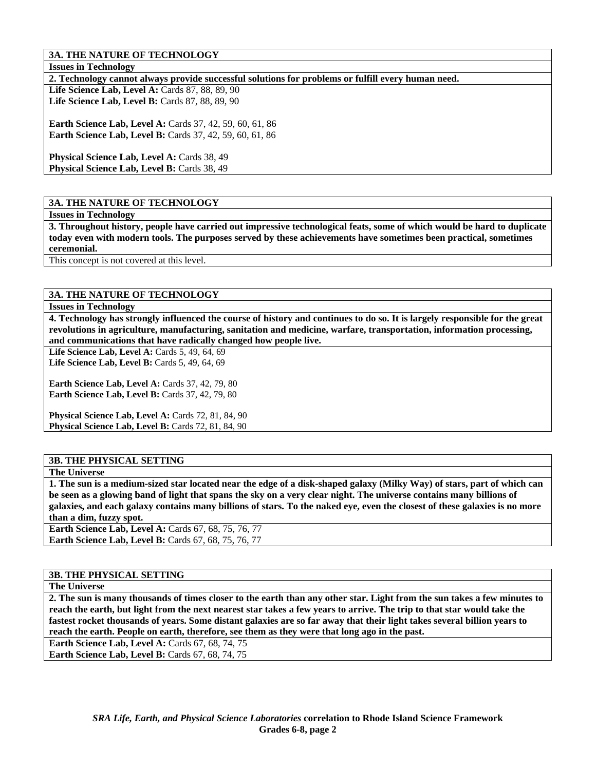### **3A. THE NATURE OF TECHNOLOGY**

**Issues in Technology** 

**2. Technology cannot always provide successful solutions for problems or fulfill every human need.** 

**Life Science Lab, Level A: Cards 87, 88, 89, 90 Life Science Lab, Level B:** Cards 87, 88, 89, 90

**Earth Science Lab, Level A:** Cards 37, 42, 59, 60, 61, 86 **Earth Science Lab, Level B:** Cards 37, 42, 59, 60, 61, 86

Physical Science Lab, Level A: Cards 38, 49 **Physical Science Lab, Level B: Cards 38, 49** 

### **3A. THE NATURE OF TECHNOLOGY**

**Issues in Technology** 

**3. Throughout history, people have carried out impressive technological feats, some of which would be hard to duplicate today even with modern tools. The purposes served by these achievements have sometimes been practical, sometimes ceremonial.** 

This concept is not covered at this level.

#### **3A. THE NATURE OF TECHNOLOGY**

#### **Issues in Technology**

**4. Technology has strongly influenced the course of history and continues to do so. It is largely responsible for the great revolutions in agriculture, manufacturing, sanitation and medicine, warfare, transportation, information processing, and communications that have radically changed how people live.** 

**Life Science Lab, Level A:** Cards 5, 49, 64, 69 Life Science Lab, Level B: Cards 5, 49, 64, 69

**Earth Science Lab, Level A: Cards 37, 42, 79, 80 Earth Science Lab, Level B: Cards 37, 42, 79, 80** 

**Physical Science Lab, Level A: Cards 72, 81, 84, 90 Physical Science Lab, Level B: Cards 72, 81, 84, 90** 

# **3B. THE PHYSICAL SETTING**

#### **The Universe**

**1. The sun is a medium-sized star located near the edge of a disk-shaped galaxy (Milky Way) of stars, part of which can be seen as a glowing band of light that spans the sky on a very clear night. The universe contains many billions of galaxies, and each galaxy contains many billions of stars. To the naked eye, even the closest of these galaxies is no more than a dim, fuzzy spot.** 

**Earth Science Lab, Level A: Cards 67, 68, 75, 76, 77 Earth Science Lab, Level B: Cards 67, 68, 75, 76, 77** 

#### **3B. THE PHYSICAL SETTING**

#### **The Universe**

**2. The sun is many thousands of times closer to the earth than any other star. Light from the sun takes a few minutes to reach the earth, but light from the next nearest star takes a few years to arrive. The trip to that star would take the fastest rocket thousands of years. Some distant galaxies are so far away that their light takes several billion years to reach the earth. People on earth, therefore, see them as they were that long ago in the past.** 

**Earth Science Lab, Level A: Cards 67, 68, 74, 75** 

**Earth Science Lab, Level B: Cards 67, 68, 74, 75**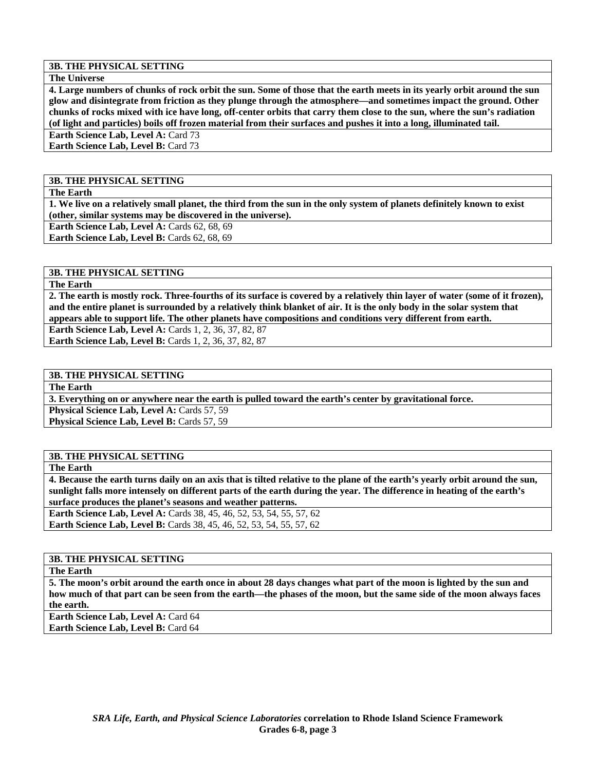#### **The Universe**

**4. Large numbers of chunks of rock orbit the sun. Some of those that the earth meets in its yearly orbit around the sun glow and disintegrate from friction as they plunge through the atmosphere—and sometimes impact the ground. Other chunks of rocks mixed with ice have long, off-center orbits that carry them close to the sun, where the sun's radiation (of light and particles) boils off frozen material from their surfaces and pushes it into a long, illuminated tail. Earth Science Lab, Level A: Card 73** 

**Earth Science Lab, Level B: Card 73** 

#### **3B. THE PHYSICAL SETTING**

**The Earth** 

**1. We live on a relatively small planet, the third from the sun in the only system of planets definitely known to exist (other, similar systems may be discovered in the universe).** 

**Earth Science Lab, Level A: Cards 62, 68, 69** 

Earth Science Lab, Level B: Cards 62, 68, 69

# **3B. THE PHYSICAL SETTING**

**The Earth** 

**2. The earth is mostly rock. Three-fourths of its surface is covered by a relatively thin layer of water (some of it frozen), and the entire planet is surrounded by a relatively think blanket of air. It is the only body in the solar system that appears able to support life. The other planets have compositions and conditions very different from earth.** 

**Earth Science Lab, Level A:** Cards 1, 2, 36, 37, 82, 87 **Earth Science Lab, Level B: Cards 1, 2, 36, 37, 82, 87** 

#### **3B. THE PHYSICAL SETTING**

**The Earth** 

**3. Everything on or anywhere near the earth is pulled toward the earth's center by gravitational force. Physical Science Lab, Level A: Cards 57, 59** Physical Science Lab, Level B: Cards 57, 59

#### **3B. THE PHYSICAL SETTING**

**The Earth** 

**4. Because the earth turns daily on an axis that is tilted relative to the plane of the earth's yearly orbit around the sun, sunlight falls more intensely on different parts of the earth during the year. The difference in heating of the earth's surface produces the planet's seasons and weather patterns.** 

**Earth Science Lab, Level A: Cards 38, 45, 46, 52, 53, 54, 55, 57, 62 Earth Science Lab, Level B:** Cards 38, 45, 46, 52, 53, 54, 55, 57, 62

# **3B. THE PHYSICAL SETTING**

**The Earth** 

**5. The moon's orbit around the earth once in about 28 days changes what part of the moon is lighted by the sun and how much of that part can be seen from the earth—the phases of the moon, but the same side of the moon always faces the earth.** 

**Earth Science Lab, Level A: Card 64 Earth Science Lab, Level B:** Card 64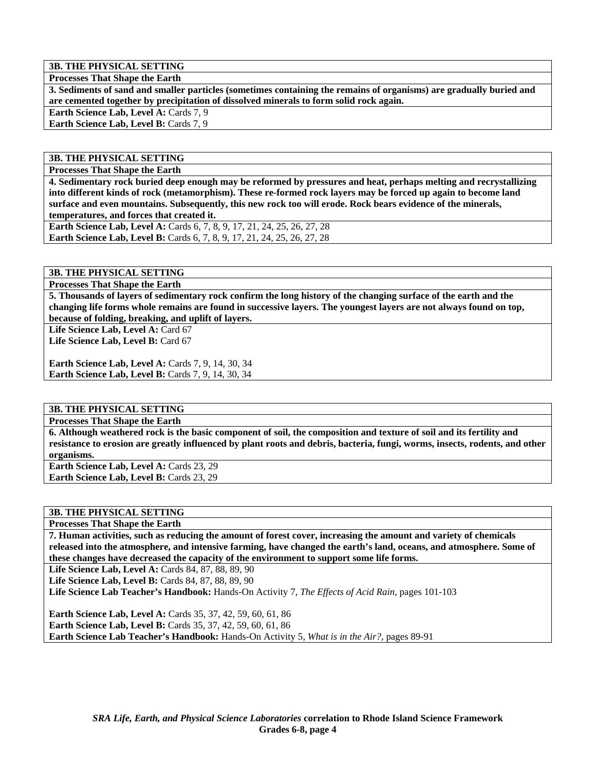**Processes That Shape the Earth** 

**3. Sediments of sand and smaller particles (sometimes containing the remains of organisms) are gradually buried and are cemented together by precipitation of dissolved minerals to form solid rock again.** 

Earth Science Lab, Level A: Cards 7, 9 Earth Science Lab, Level B: Cards 7, 9

**3B. THE PHYSICAL SETTING** 

**Processes That Shape the Earth** 

**4. Sedimentary rock buried deep enough may be reformed by pressures and heat, perhaps melting and recrystallizing into different kinds of rock (metamorphism). These re-formed rock layers may be forced up again to become land surface and even mountains. Subsequently, this new rock too will erode. Rock bears evidence of the minerals, temperatures, and forces that created it.** 

**Earth Science Lab, Level A:** Cards 6, 7, 8, 9, 17, 21, 24, 25, 26, 27, 28 **Earth Science Lab, Level B:** Cards 6, 7, 8, 9, 17, 21, 24, 25, 26, 27, 28

**3B. THE PHYSICAL SETTING** 

**Processes That Shape the Earth** 

**5. Thousands of layers of sedimentary rock confirm the long history of the changing surface of the earth and the changing life forms whole remains are found in successive layers. The youngest layers are not always found on top, because of folding, breaking, and uplift of layers.** 

Life Science Lab, Level A: Card 67

Life Science Lab, Level B: Card 67

**Earth Science Lab, Level A: Cards 7, 9, 14, 30, 34 Earth Science Lab, Level B: Cards 7, 9, 14, 30, 34** 

#### **3B. THE PHYSICAL SETTING**

**Processes That Shape the Earth** 

**6. Although weathered rock is the basic component of soil, the composition and texture of soil and its fertility and resistance to erosion are greatly influenced by plant roots and debris, bacteria, fungi, worms, insects, rodents, and other organisms.** 

**Earth Science Lab, Level A: Cards 23, 29 Earth Science Lab, Level B: Cards 23, 29** 

**3B. THE PHYSICAL SETTING** 

**Processes That Shape the Earth** 

**7. Human activities, such as reducing the amount of forest cover, increasing the amount and variety of chemicals released into the atmosphere, and intensive farming, have changed the earth's land, oceans, and atmosphere. Some of these changes have decreased the capacity of the environment to support some life forms.** 

**Life Science Lab, Level A: Cards 84, 87, 88, 89, 90** 

**Life Science Lab, Level B: Cards 84, 87, 88, 89, 90** 

**Life Science Lab Teacher's Handbook:** Hands-On Activity 7, *The Effects of Acid Rain,* pages 101-103

**Earth Science Lab, Level A:** Cards 35, 37, 42, 59, 60, 61, 86 **Earth Science Lab, Level B:** Cards 35, 37, 42, 59, 60, 61, 86 **Earth Science Lab Teacher's Handbook:** Hands-On Activity 5, *What is in the Air?,* pages 89-91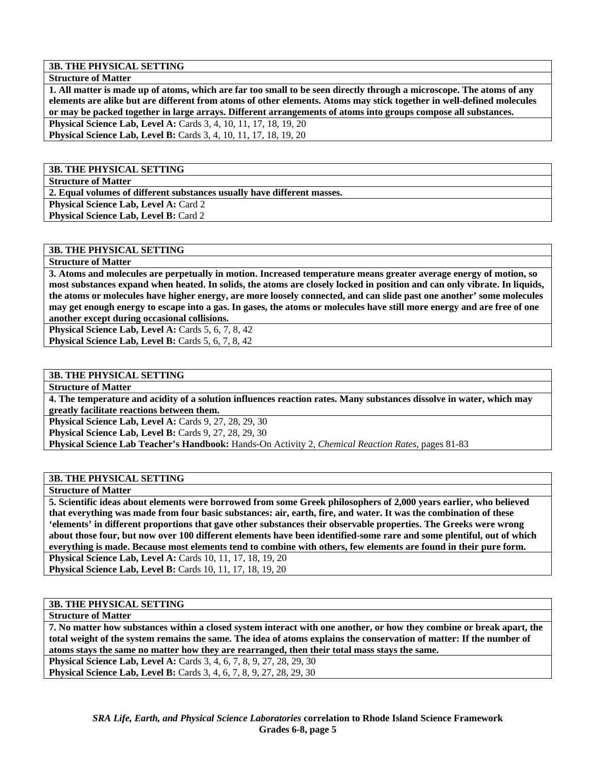**Structure of Matter** 

**1. All matter is made up of atoms, which are far too small to be seen directly through a microscope. The atoms of any elements are alike but are different from atoms of other elements. Atoms may stick together in well-defined molecules or may be packed together in large arrays. Different arrangements of atoms into groups compose all substances. Physical Science Lab, Level A:** Cards 3, 4, 10, 11, 17, 18, 19, 20

**Physical Science Lab, Level B:** Cards 3, 4, 10, 11, 17, 18, 19, 20

#### **3B. THE PHYSICAL SETTING**

**Structure of Matter** 

**2. Equal volumes of different substances usually have different masses.** 

**Physical Science Lab, Level A: Card 2** 

**Physical Science Lab, Level B: Card 2** 

#### **3B. THE PHYSICAL SETTING**

**Structure of Matter** 

**3. Atoms and molecules are perpetually in motion. Increased temperature means greater average energy of motion, so most substances expand when heated. In solids, the atoms are closely locked in position and can only vibrate. In liquids, the atoms or molecules have higher energy, are more loosely connected, and can slide past one another' some molecules may get enough energy to escape into a gas. In gases, the atoms or molecules have still more energy and are free of one another except during occasional collisions.** 

Physical Science Lab, Level A: Cards 5, 6, 7, 8, 42 **Physical Science Lab, Level B:** Cards 5, 6, 7, 8, 42

#### **3B. THE PHYSICAL SETTING**

**Structure of Matter** 

**4. The temperature and acidity of a solution influences reaction rates. Many substances dissolve in water, which may greatly facilitate reactions between them.** 

**Physical Science Lab, Level A: Cards 9, 27, 28, 29, 30** 

**Physical Science Lab, Level B:** Cards 9, 27, 28, 29, 30

**Physical Science Lab Teacher's Handbook:** Hands-On Activity 2, *Chemical Reaction Rates,* pages 81-83

#### **3B. THE PHYSICAL SETTING**

**Structure of Matter** 

**5. Scientific ideas about elements were borrowed from some Greek philosophers of 2,000 years earlier, who believed that everything was made from four basic substances: air, earth, fire, and water. It was the combination of these 'elements' in different proportions that gave other substances their observable properties. The Greeks were wrong about those four, but now over 100 different elements have been identified-some rare and some plentiful, out of which everything is made. Because most elements tend to combine with others, few elements are found in their pure form. Physical Science Lab, Level A: Cards 10, 11, 17, 18, 19, 20** 

**Physical Science Lab, Level B:** Cards 10, 11, 17, 18, 19, 20

### **3B. THE PHYSICAL SETTING**

**Structure of Matter** 

**7. No matter how substances within a closed system interact with one another, or how they combine or break apart, the total weight of the system remains the same. The idea of atoms explains the conservation of matter: If the number of atoms stays the same no matter how they are rearranged, then their total mass stays the same.** 

**Physical Science Lab, Level A:** Cards 3, 4, 6, 7, 8, 9, 27, 28, 29, 30

**Physical Science Lab, Level B:** Cards 3, 4, 6, 7, 8, 9, 27, 28, 29, 30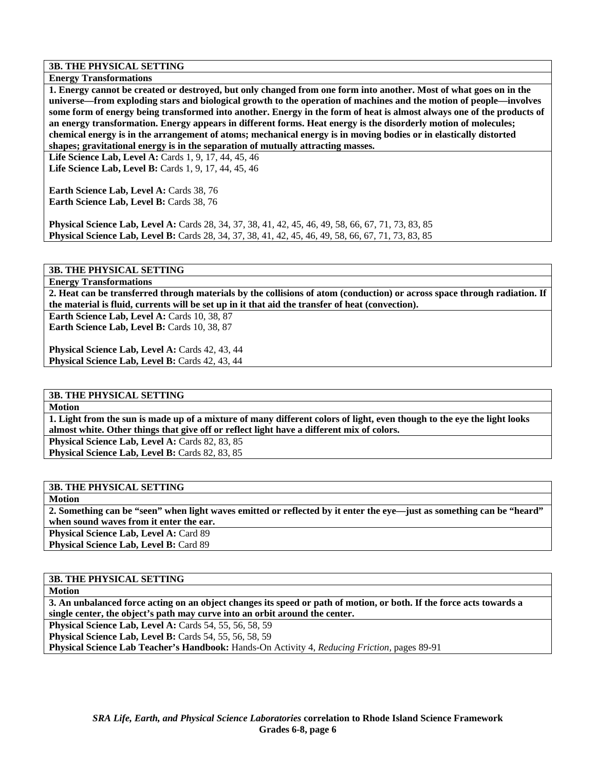**Energy Transformations** 

**1. Energy cannot be created or destroyed, but only changed from one form into another. Most of what goes on in the universe—from exploding stars and biological growth to the operation of machines and the motion of people—involves some form of energy being transformed into another. Energy in the form of heat is almost always one of the products of an energy transformation. Energy appears in different forms. Heat energy is the disorderly motion of molecules; chemical energy is in the arrangement of atoms; mechanical energy is in moving bodies or in elastically distorted shapes; gravitational energy is in the separation of mutually attracting masses.** 

**Life Science Lab, Level A:** Cards 1, 9, 17, 44, 45, 46 **Life Science Lab, Level B:** Cards 1, 9, 17, 44, 45, 46

**Earth Science Lab, Level A: Cards 38, 76 Earth Science Lab, Level B: Cards 38, 76** 

**Physical Science Lab, Level A:** Cards 28, 34, 37, 38, 41, 42, 45, 46, 49, 58, 66, 67, 71, 73, 83, 85 **Physical Science Lab, Level B:** Cards 28, 34, 37, 38, 41, 42, 45, 46, 49, 58, 66, 67, 71, 73, 83, 85

### **3B. THE PHYSICAL SETTING**

**Energy Transformations** 

**2. Heat can be transferred through materials by the collisions of atom (conduction) or across space through radiation. If the material is fluid, currents will be set up in it that aid the transfer of heat (convection).** 

Earth Science Lab, Level A: Cards 10, 38, 87 Earth Science Lab, Level B: Cards 10, 38, 87

**Physical Science Lab, Level A: Cards 42, 43, 44** Physical Science Lab, Level B: Cards 42, 43, 44

#### **3B. THE PHYSICAL SETTING**

**Motion** 

**1. Light from the sun is made up of a mixture of many different colors of light, even though to the eye the light looks almost white. Other things that give off or reflect light have a different mix of colors.** 

Physical Science Lab, Level A: Cards 82, 83, 85 Physical Science Lab, Level B: Cards 82, 83, 85

#### **3B. THE PHYSICAL SETTING**

**Motion** 

**2. Something can be "seen" when light waves emitted or reflected by it enter the eye—just as something can be "heard" when sound waves from it enter the ear.** 

Physical Science Lab, Level A: Card 89

Physical Science Lab, Level B: Card 89

#### **3B. THE PHYSICAL SETTING**

**Motion** 

**3. An unbalanced force acting on an object changes its speed or path of motion, or both. If the force acts towards a single center, the object's path may curve into an orbit around the center.** 

**Physical Science Lab, Level A: Cards 54, 55, 56, 58, 59** 

**Physical Science Lab, Level B: Cards 54, 55, 56, 58, 59** 

**Physical Science Lab Teacher's Handbook:** Hands-On Activity 4, *Reducing Friction,* pages 89-91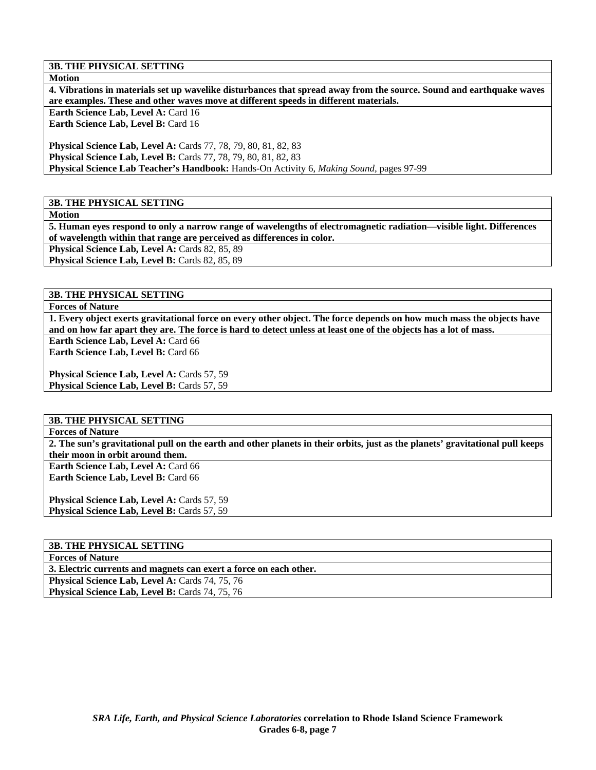**Motion** 

**4. Vibrations in materials set up wavelike disturbances that spread away from the source. Sound and earthquake waves are examples. These and other waves move at different speeds in different materials.** 

**Earth Science Lab, Level A: Card 16 Earth Science Lab, Level B: Card 16** 

**Physical Science Lab, Level A:** Cards 77, 78, 79, 80, 81, 82, 83 **Physical Science Lab, Level B:** Cards 77, 78, 79, 80, 81, 82, 83 **Physical Science Lab Teacher's Handbook:** Hands-On Activity 6, *Making Sound,* pages 97-99

### **3B. THE PHYSICAL SETTING**

**Motion** 

**5. Human eyes respond to only a narrow range of wavelengths of electromagnetic radiation—visible light. Differences of wavelength within that range are perceived as differences in color.** 

**Physical Science Lab, Level A: Cards 82, 85, 89** 

Physical Science Lab, Level B: Cards 82, 85, 89

**3B. THE PHYSICAL SETTING** 

**Forces of Nature** 

**1. Every object exerts gravitational force on every other object. The force depends on how much mass the objects have and on how far apart they are. The force is hard to detect unless at least one of the objects has a lot of mass.** 

**Earth Science Lab, Level A: Card 66 Earth Science Lab, Level B: Card 66** 

Physical Science Lab, Level A: Cards 57, 59 **Physical Science Lab, Level B: Cards 57, 59** 

#### **3B. THE PHYSICAL SETTING**

**Forces of Nature** 

**2. The sun's gravitational pull on the earth and other planets in their orbits, just as the planets' gravitational pull keeps their moon in orbit around them.** 

**Earth Science Lab, Level A: Card 66 Earth Science Lab, Level B: Card 66** 

Physical Science Lab, Level A: Cards 57, 59 **Physical Science Lab, Level B: Cards 57, 59** 

# **3B. THE PHYSICAL SETTING**

**Forces of Nature** 

**3. Electric currents and magnets can exert a force on each other.** 

Physical Science Lab, Level A: Cards 74, 75, 76 Physical Science Lab, Level B: Cards 74, 75, 76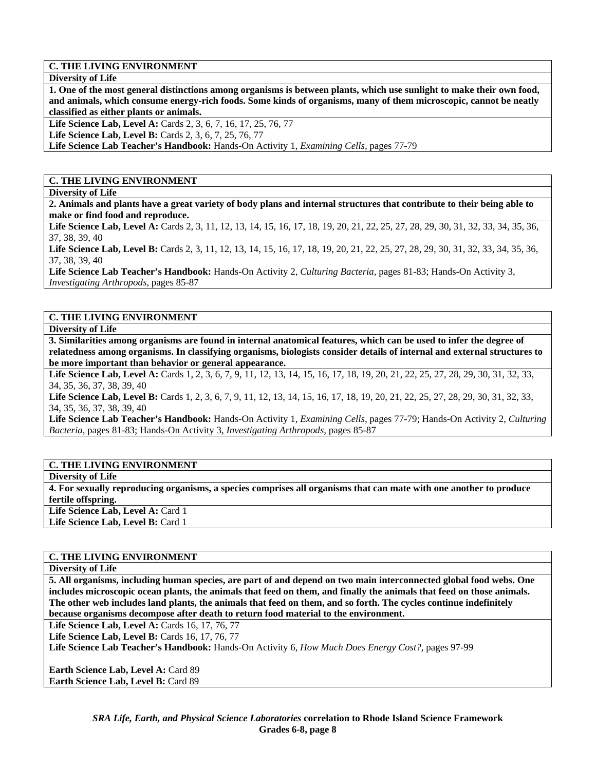**Diversity of Life** 

**1. One of the most general distinctions among organisms is between plants, which use sunlight to make their own food, and animals, which consume energy-rich foods. Some kinds of organisms, many of them microscopic, cannot be neatly classified as either plants or animals.** 

Life Science Lab, Level A: Cards 2, 3, 6, 7, 16, 17, 25, 76, 77

**Life Science Lab, Level B:** Cards 2, 3, 6, 7, 25, 76, 77

**Life Science Lab Teacher's Handbook:** Hands-On Activity 1, *Examining Cells,* pages 77-79

### **C. THE LIVING ENVIRONMENT**

**Diversity of Life** 

**2. Animals and plants have a great variety of body plans and internal structures that contribute to their being able to make or find food and reproduce.** 

Life Science Lab, Level A: Cards 2, 3, 11, 12, 13, 14, 15, 16, 17, 18, 19, 20, 21, 22, 25, 27, 28, 29, 30, 31, 32, 33, 34, 35, 36, 37, 38, 39, 40

Life Science Lab, Level B: Cards 2, 3, 11, 12, 13, 14, 15, 16, 17, 18, 19, 20, 21, 22, 25, 27, 28, 29, 30, 31, 32, 33, 34, 35, 36, 37, 38, 39, 40

**Life Science Lab Teacher's Handbook:** Hands-On Activity 2, *Culturing Bacteria,* pages 81-83; Hands-On Activity 3, *Investigating Arthropods,* pages 85-87

#### **C. THE LIVING ENVIRONMENT**

**Diversity of Life** 

**3. Similarities among organisms are found in internal anatomical features, which can be used to infer the degree of relatedness among organisms. In classifying organisms, biologists consider details of internal and external structures to be more important than behavior or general appearance.** 

Life Science Lab, Level A: Cards 1, 2, 3, 6, 7, 9, 11, 12, 13, 14, 15, 16, 17, 18, 19, 20, 21, 22, 25, 27, 28, 29, 30, 31, 32, 33, 34, 35, 36, 37, 38, 39, 40

Life Science Lab, Level B: Cards 1, 2, 3, 6, 7, 9, 11, 12, 13, 14, 15, 16, 17, 18, 19, 20, 21, 22, 25, 27, 28, 29, 30, 31, 32, 33, 34, 35, 36, 37, 38, 39, 40

**Life Science Lab Teacher's Handbook:** Hands-On Activity 1, *Examining Cells,* pages 77-79; Hands-On Activity 2, *Culturing Bacteria,* pages 81-83; Hands-On Activity 3, *Investigating Arthropods,* pages 85-87

#### **C. THE LIVING ENVIRONMENT**

**Diversity of Life** 

**4. For sexually reproducing organisms, a species comprises all organisms that can mate with one another to produce fertile offspring.**  Life Science Lab, Level A: Card 1

Life Science Lab, Level B: Card 1

### **C. THE LIVING ENVIRONMENT**

**Diversity of Life** 

**5. All organisms, including human species, are part of and depend on two main interconnected global food webs. One includes microscopic ocean plants, the animals that feed on them, and finally the animals that feed on those animals. The other web includes land plants, the animals that feed on them, and so forth. The cycles continue indefinitely because organisms decompose after death to return food material to the environment.** 

Life Science Lab, Level A: Cards 16, 17, 76, 77

Life Science Lab, Level B: Cards 16, 17, 76, 77

**Life Science Lab Teacher's Handbook:** Hands-On Activity 6, *How Much Does Energy Cost?,* pages 97-99

**Earth Science Lab, Level A: Card 89 Earth Science Lab, Level B:** Card 89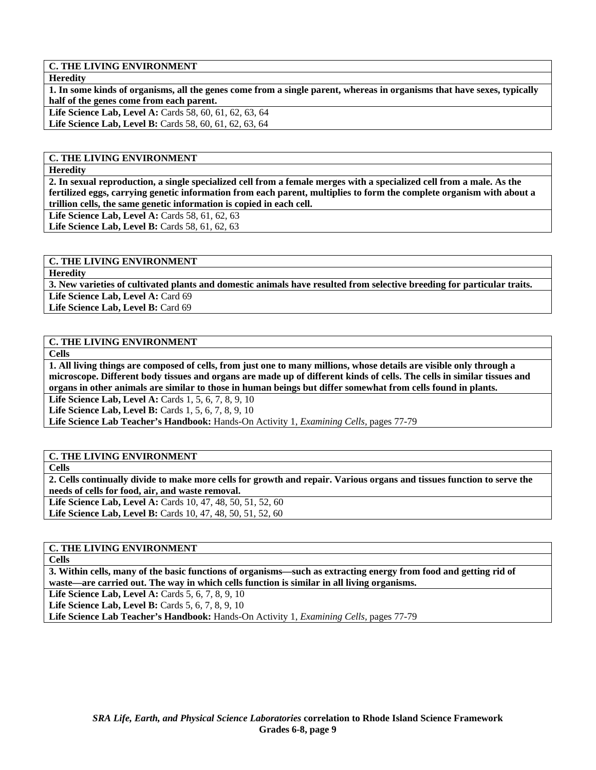**Heredity** 

**1. In some kinds of organisms, all the genes come from a single parent, whereas in organisms that have sexes, typically half of the genes come from each parent.** 

Life Science Lab, Level A: Cards 58, 60, 61, 62, 63, 64 Life Science Lab, Level B: Cards 58, 60, 61, 62, 63, 64

# **C. THE LIVING ENVIRONMENT**

**Heredity** 

**2. In sexual reproduction, a single specialized cell from a female merges with a specialized cell from a male. As the fertilized eggs, carrying genetic information from each parent, multiplies to form the complete organism with about a trillion cells, the same genetic information is copied in each cell.** 

**Life Science Lab, Level A: Cards 58, 61, 62, 63** 

**Life Science Lab, Level B:** Cards 58, 61, 62, 63

#### **C. THE LIVING ENVIRONMENT**

**Heredity** 

**3. New varieties of cultivated plants and domestic animals have resulted from selective breeding for particular traits.**  Life Science Lab, Level A: Card 69

Life Science Lab, Level B: Card 69

### **C. THE LIVING ENVIRONMENT**

**Cells** 

**1. All living things are composed of cells, from just one to many millions, whose details are visible only through a microscope. Different body tissues and organs are made up of different kinds of cells. The cells in similar tissues and organs in other animals are similar to those in human beings but differ somewhat from cells found in plants.** 

**Life Science Lab, Level A: Cards 1, 5, 6, 7, 8, 9, 10** 

**Life Science Lab, Level B:** Cards 1, 5, 6, 7, 8, 9, 10

**Life Science Lab Teacher's Handbook:** Hands-On Activity 1, *Examining Cells,* pages 77-79

#### **C. THE LIVING ENVIRONMENT**

**Cells** 

**2. Cells continually divide to make more cells for growth and repair. Various organs and tissues function to serve the needs of cells for food, air, and waste removal. Life Science Lab, Level A:** Cards 10, 47, 48, 50, 51, 52, 60 Life Science Lab, Level B: Cards 10, 47, 48, 50, 51, 52, 60

**C. THE LIVING ENVIRONMENT** 

**Cells** 

**3. Within cells, many of the basic functions of organisms—such as extracting energy from food and getting rid of waste—are carried out. The way in which cells function is similar in all living organisms.** 

**Life Science Lab, Level A: Cards 5, 6, 7, 8, 9, 10** 

**Life Science Lab, Level B:** Cards 5, 6, 7, 8, 9, 10

**Life Science Lab Teacher's Handbook:** Hands-On Activity 1, *Examining Cells,* pages 77-79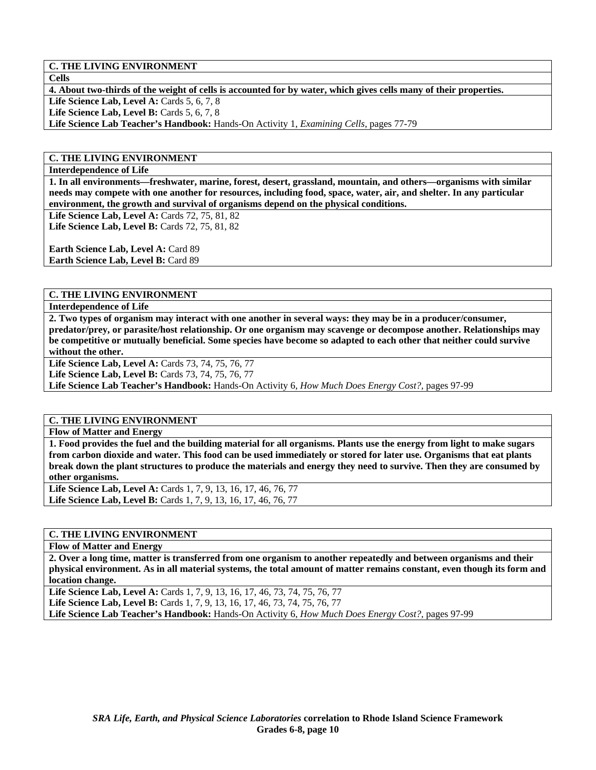**Cells** 

**4. About two-thirds of the weight of cells is accounted for by water, which gives cells many of their properties.** 

**Life Science Lab, Level A: Cards 5, 6, 7, 8 Life Science Lab, Level B:** Cards 5, 6, 7, 8

**Life Science Lab Teacher's Handbook:** Hands-On Activity 1, *Examining Cells,* pages 77-79

# **C. THE LIVING ENVIRONMENT**

**Interdependence of Life** 

**1. In all environments—freshwater, marine, forest, desert, grassland, mountain, and others—organisms with similar needs may compete with one another for resources, including food, space, water, air, and shelter. In any particular environment, the growth and survival of organisms depend on the physical conditions.** 

**Life Science Lab, Level A:** Cards 72, 75, 81, 82 **Life Science Lab, Level B:** Cards 72, 75, 81, 82

**Earth Science Lab, Level A: Card 89** 

**Earth Science Lab, Level B: Card 89** 

### **C. THE LIVING ENVIRONMENT**

**Interdependence of Life** 

**2. Two types of organism may interact with one another in several ways: they may be in a producer/consumer, predator/prey, or parasite/host relationship. Or one organism may scavenge or decompose another. Relationships may be competitive or mutually beneficial. Some species have become so adapted to each other that neither could survive without the other.** 

Life Science Lab, Level A: Cards 73, 74, 75, 76, 77

Life Science Lab, Level B: Cards 73, 74, 75, 76, 77

**Life Science Lab Teacher's Handbook:** Hands-On Activity 6, *How Much Does Energy Cost?,* pages 97-99

# **C. THE LIVING ENVIRONMENT**

**Flow of Matter and Energy** 

**1. Food provides the fuel and the building material for all organisms. Plants use the energy from light to make sugars from carbon dioxide and water. This food can be used immediately or stored for later use. Organisms that eat plants break down the plant structures to produce the materials and energy they need to survive. Then they are consumed by other organisms.** 

**Life Science Lab, Level A:** Cards 1, 7, 9, 13, 16, 17, 46, 76, 77 **Life Science Lab, Level B:** Cards 1, 7, 9, 13, 16, 17, 46, 76, 77

# **C. THE LIVING ENVIRONMENT**

**Flow of Matter and Energy** 

**2. Over a long time, matter is transferred from one organism to another repeatedly and between organisms and their physical environment. As in all material systems, the total amount of matter remains constant, even though its form and location change.** 

Life Science Lab, Level A: Cards 1, 7, 9, 13, 16, 17, 46, 73, 74, 75, 76, 77 Life Science Lab, Level B: Cards 1, 7, 9, 13, 16, 17, 46, 73, 74, 75, 76, 77 **Life Science Lab Teacher's Handbook:** Hands-On Activity 6, *How Much Does Energy Cost?,* pages 97-99